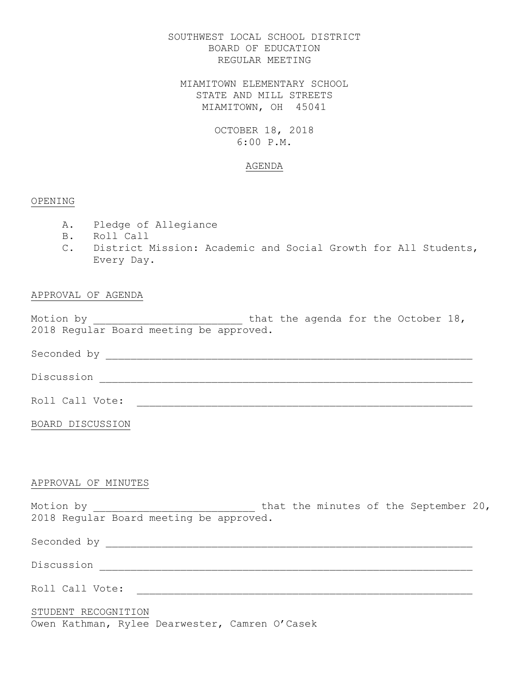# SOUTHWEST LOCAL SCHOOL DISTRICT BOARD OF EDUCATION REGULAR MEETING

MIAMITOWN ELEMENTARY SCHOOL STATE AND MILL STREETS MIAMITOWN, OH 45041

# OCTOBER 18, 2018 6:00 P.M.

### AGENDA

### OPENING

- A. Pledge of Allegiance
- B. Roll Call
- C. District Mission: Academic and Social Growth for All Students, Every Day.

# APPROVAL OF AGENDA

Motion by  $\frac{18}{18}$ 2018 Regular Board meeting be approved.

Seconded by \_\_\_\_\_\_\_\_\_\_\_\_\_\_\_\_\_\_\_\_\_\_\_\_\_\_\_\_\_\_\_\_\_\_\_\_\_\_\_\_\_\_\_\_\_\_\_\_\_\_\_\_\_\_\_\_\_\_\_

Discussion \_\_\_\_\_\_\_\_\_\_\_\_\_\_\_\_\_\_\_\_\_\_\_\_\_\_\_\_\_\_\_\_\_\_\_\_\_\_\_\_\_\_\_\_\_\_\_\_\_\_\_\_\_\_\_\_\_\_\_\_

Roll Call Vote: \_\_\_\_\_\_\_\_\_\_\_\_\_\_\_\_\_\_\_\_\_\_\_\_\_\_\_\_\_\_\_\_\_\_\_\_\_\_\_\_\_\_\_\_\_\_\_\_\_\_\_\_\_\_

BOARD DISCUSSION

## APPROVAL OF MINUTES

Motion by  $\qquad \qquad$  that the minutes of the September 20, 2018 Regular Board meeting be approved.

Seconded by \_\_\_\_\_\_\_\_\_\_\_\_\_\_\_\_\_\_\_\_\_\_\_\_\_\_\_\_\_\_\_\_\_\_\_\_\_\_\_\_\_\_\_\_\_\_\_\_\_\_\_\_\_\_\_\_\_\_\_

Discussion \_\_\_\_\_\_\_\_\_\_\_\_\_\_\_\_\_\_\_\_\_\_\_\_\_\_\_\_\_\_\_\_\_\_\_\_\_\_\_\_\_\_\_\_\_\_\_\_\_\_\_\_\_\_\_\_\_\_\_\_

Roll Call Vote: \_\_\_\_\_\_\_\_\_\_\_\_\_\_\_\_\_\_\_\_\_\_\_\_\_\_\_\_\_\_\_\_\_\_\_\_\_\_\_\_\_\_\_\_\_\_\_\_\_\_\_\_\_\_

# STUDENT RECOGNITION

Owen Kathman, Rylee Dearwester, Camren O'Casek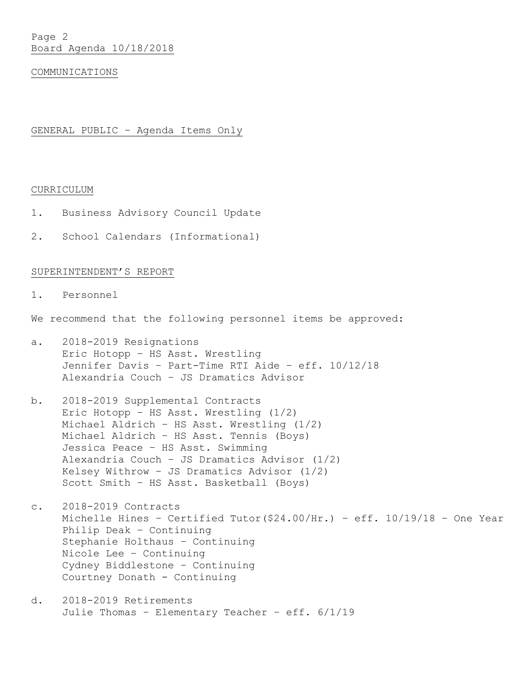#### COMMUNICATIONS

GENERAL PUBLIC – Agenda Items Only

#### CURRICULUM

- 1. Business Advisory Council Update
- 2. School Calendars (Informational)

### SUPERINTENDENT'S REPORT

1. Personnel

We recommend that the following personnel items be approved:

- a. 2018-2019 Resignations Eric Hotopp – HS Asst. Wrestling Jennifer Davis – Part-Time RTI Aide – eff. 10/12/18 Alexandria Couch – JS Dramatics Advisor
- b. 2018-2019 Supplemental Contracts Eric Hotopp – HS Asst. Wrestling (1/2) Michael Aldrich – HS Asst. Wrestling (1/2) Michael Aldrich – HS Asst. Tennis (Boys) Jessica Peace – HS Asst. Swimming Alexandria Couch – JS Dramatics Advisor (1/2) Kelsey Withrow – JS Dramatics Advisor (1/2) Scott Smith – HS Asst. Basketball (Boys)
- c. 2018-2019 Contracts Michelle Hines - Certified Tutor( $$24.00/Hr$ .) - eff.  $10/19/18$  - One Year Philip Deak – Continuing Stephanie Holthaus – Continuing Nicole Lee – Continuing Cydney Biddlestone – Continuing Courtney Donath - Continuing
- d. 2018-2019 Retirements Julie Thomas – Elementary Teacher – eff. 6/1/19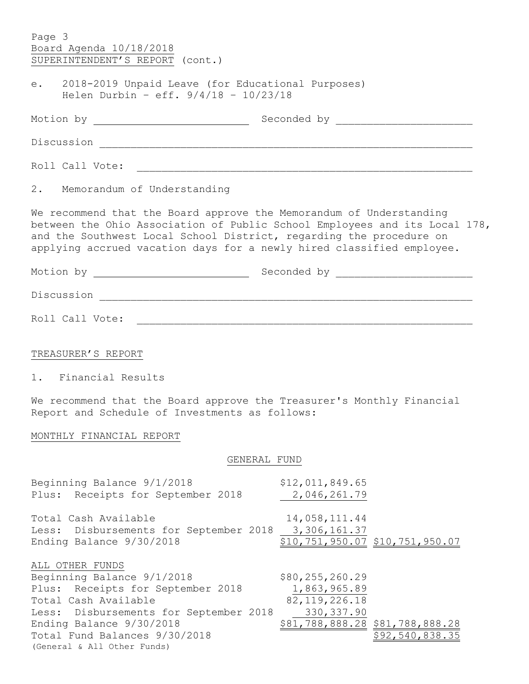| Page 3<br>Board Agenda 10/18/2018<br>SUPERINTENDENT'S REPORT (cont.)                                                                                                                                                                                                                              |                                                                                                                         |
|---------------------------------------------------------------------------------------------------------------------------------------------------------------------------------------------------------------------------------------------------------------------------------------------------|-------------------------------------------------------------------------------------------------------------------------|
| e. 2018-2019 Unpaid Leave (for Educational Purposes)<br>Helen Durbin - eff. $9/4/18$ - $10/23/18$                                                                                                                                                                                                 |                                                                                                                         |
|                                                                                                                                                                                                                                                                                                   |                                                                                                                         |
|                                                                                                                                                                                                                                                                                                   |                                                                                                                         |
|                                                                                                                                                                                                                                                                                                   |                                                                                                                         |
| 2. Memorandum of Understanding                                                                                                                                                                                                                                                                    |                                                                                                                         |
| We recommend that the Board approve the Memorandum of Understanding<br>between the Ohio Association of Public School Employees and its Local 178,<br>and the Southwest Local School District, regarding the procedure on<br>applying accrued vacation days for a newly hired classified employee. |                                                                                                                         |
|                                                                                                                                                                                                                                                                                                   |                                                                                                                         |
|                                                                                                                                                                                                                                                                                                   |                                                                                                                         |
|                                                                                                                                                                                                                                                                                                   |                                                                                                                         |
| TREASURER'S REPORT                                                                                                                                                                                                                                                                                |                                                                                                                         |
| 1. Financial Results<br>We recommend that the Board approve the Treasurer's Monthly Financial<br>Report and Schedule of Investments as follows:                                                                                                                                                   |                                                                                                                         |
| MONTHLY FINANCIAL REPORT                                                                                                                                                                                                                                                                          |                                                                                                                         |
| GENERAL FUND                                                                                                                                                                                                                                                                                      |                                                                                                                         |
| Beginning Balance 9/1/2018<br>Plus: Receipts for September 2018                                                                                                                                                                                                                                   | \$12,011,849.65<br>2,046,261.79                                                                                         |
| Total Cash Available<br>Less: Disbursements for September 2018<br>Ending Balance 9/30/2018                                                                                                                                                                                                        | 14,058,111.44<br>3,306,161.37<br><u>\$10,751,950.07 \$10,751,950.07</u>                                                 |
| ALL OTHER FUNDS<br>Beginning Balance 9/1/2018<br>Plus: Receipts for September 2018<br>Total Cash Available<br>Less: Disbursements for September 2018<br>Ending Balance 9/30/2018<br>Total Fund Balances 9/30/2018<br>(General & All Other Funds)                                                  | \$80,255,260.29<br>1,863,965.89<br>82, 119, 226. 18<br>330,337.90<br>\$81,788,888.28 \$81,788,888.28<br>\$92,540,838.35 |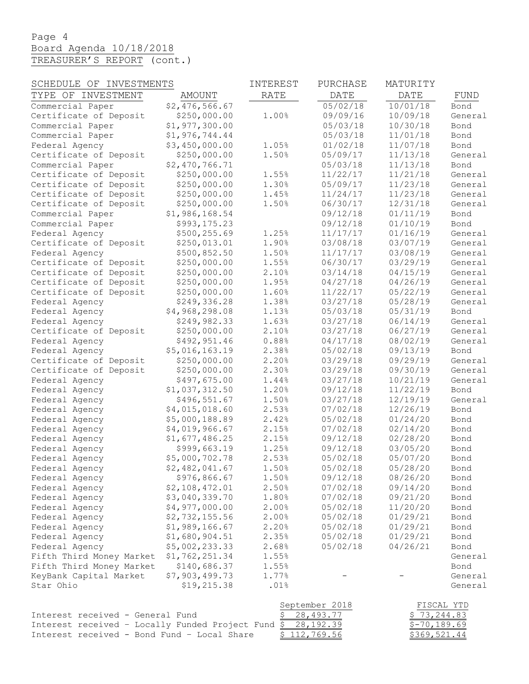# Page 4 Board Agenda 10/18/2018 TREASURER'S REPORT (cont.)

| SCHEDULE OF INVESTMENTS                                      |                | INTEREST    | PURCHASE       | MATURITY      |            |
|--------------------------------------------------------------|----------------|-------------|----------------|---------------|------------|
| TYPE OF INVESTMENT                                           | AMOUNT         | <b>RATE</b> | DATE           | DATE          | FUND       |
| Commercial Paper                                             | \$2,476,566.67 |             | 05/02/18       | 10/01/18      | Bond       |
| Certificate of Deposit                                       | \$250,000.00   | 1.00%       | 09/09/16       | 10/09/18      | General    |
| Commercial Paper                                             | \$1,977,300.00 |             | 05/03/18       | 10/30/18      | Bond       |
| Commercial Paper                                             | \$1,976,744.44 |             | 05/03/18       | 11/01/18      | Bond       |
| Federal Agency                                               | \$3,450,000.00 | 1.05%       | 01/02/18       | 11/07/18      | Bond       |
| Certificate of Deposit                                       | \$250,000.00   | 1.50%       | 05/09/17       | 11/13/18      | General    |
| Commercial Paper                                             | \$2,470,766.71 |             | 05/03/18       | 11/13/18      | Bond       |
| Certificate of Deposit                                       | \$250,000.00   | 1.55%       | 11/22/17       | 11/21/18      | General    |
| Certificate of Deposit                                       | \$250,000.00   | 1.30%       | 05/09/17       | 11/23/18      | General    |
| Certificate of Deposit                                       | \$250,000.00   | 1.45%       | 11/24/17       | 11/23/18      | General    |
| Certificate of Deposit                                       | \$250,000.00   | 1.50%       | 06/30/17       | 12/31/18      | General    |
| Commercial Paper                                             | \$1,986,168.54 |             | 09/12/18       | 01/11/19      | Bond       |
| Commercial Paper                                             | \$993,175.23   |             | 09/12/18       | 01/10/19      | Bond       |
| Federal Agency                                               | \$500,255.69   | 1.25%       | 11/17/17       | 01/16/19      | General    |
| Certificate of Deposit                                       | \$250,013.01   | 1.90%       | 03/08/18       | 03/07/19      | General    |
| Federal Agency                                               | \$500,852.50   | 1.50%       | 11/17/17       | 03/08/19      | General    |
| Certificate of Deposit                                       | \$250,000.00   | 1.55%       | 06/30/17       | 03/29/19      | General    |
| Certificate of Deposit                                       | \$250,000.00   | 2.10%       | 03/14/18       | 04/15/19      | General    |
| Certificate of Deposit                                       | \$250,000.00   | 1.95%       | 04/27/18       | 04/26/19      | General    |
| Certificate of Deposit                                       | \$250,000.00   | 1.60%       | 11/22/17       | 05/22/19      | General    |
| Federal Agency                                               | \$249,336.28   | 1.38%       | 03/27/18       | 05/28/19      | General    |
| Federal Agency                                               | \$4,968,298.08 | 1.13%       | 05/03/18       | 05/31/19      | Bond       |
| Federal Agency                                               | \$249,982.33   | 1.63%       | 03/27/18       | 06/14/19      | General    |
| Certificate of Deposit                                       | \$250,000.00   | 2.10%       | 03/27/18       | 06/27/19      | General    |
| Federal Agency                                               | \$492,951.46   | 0.88%       | 04/17/18       | 08/02/19      | General    |
| Federal Agency                                               | \$5,016,163.19 | 2.38%       | 05/02/18       | 09/13/19      | Bond       |
| Certificate of Deposit                                       | \$250,000.00   | 2.20%       | 03/29/18       | 09/29/19      | General    |
| Certificate of Deposit                                       | \$250,000.00   | 2.30%       | 03/29/18       | 09/30/19      | General    |
| Federal Agency                                               | \$497,675.00   | 1.44%       | 03/27/18       | 10/21/19      | General    |
| Federal Agency                                               | \$1,037,312.50 | 1.20%       | 09/12/18       | 11/22/19      | Bond       |
| Federal Agency                                               | \$496,551.67   | 1.50%       | 03/27/18       | 12/19/19      | General    |
| Federal Agency                                               | \$4,015,018.60 | 2.53%       | 07/02/18       | 12/26/19      | Bond       |
| Federal Agency                                               | \$5,000,188.89 | 2.42%       | 05/02/18       | 01/24/20      | Bond       |
| Federal Agency                                               | \$4,019,966.67 | 2.15%       | 07/02/18       | 02/14/20      | Bond       |
| Federal Agency                                               | \$1,677,486.25 | 2.15%       | 09/12/18       | 02/28/20      | Bond       |
| Federal Agency                                               | \$999,663.19   | 1.25%       | 09/12/18       | 03/05/20      | Bond       |
| Federal Agency                                               | \$5,000,702.78 | 2.53%       | 05/02/18       | 05/07/20      | Bond       |
| Federal Agency                                               | \$2,482,041.67 | 1.50%       | 05/02/18       | 05/28/20      | Bond       |
| Federal Agency                                               | \$976,866.67   | 1.50%       | 09/12/18       | 08/26/20      | Bond       |
| Federal Agency                                               | \$2,108,472.01 | 2.50%       | 07/02/18       | 09/14/20      | Bond       |
| Federal Agency                                               | \$3,040,339.70 | 1.80%       | 07/02/18       | 09/21/20      | Bond       |
| Federal Agency                                               | \$4,977,000.00 | 2.00%       | 05/02/18       | 11/20/20      | Bond       |
| Federal Agency                                               | \$2,732,155.56 | 2.00%       | 05/02/18       | 01/29/21      | Bond       |
| Federal Agency                                               | \$1,989,166.67 | 2.20%       | 05/02/18       | 01/29/21      | Bond       |
| Federal Agency                                               | \$1,680,904.51 | 2.35%       | 05/02/18       | 01/29/21      | Bond       |
| Federal Agency                                               | \$5,002,233.33 | 2.68%       | 05/02/18       | 04/26/21      | Bond       |
| Fifth Third Money Market                                     | \$1,762,251.34 | 1.55%       |                |               | General    |
| Fifth Third Money Market                                     | \$140,686.37   | 1.55%       |                |               | Bond       |
| KeyBank Capital Market                                       | \$7,903,499.73 | 1.77%       |                |               | General    |
| Star Ohio                                                    | \$19,215.38    | .01%        |                |               | General    |
|                                                              |                |             | September 2018 |               | FISCAL YTD |
| Interest received - General Fund                             |                |             | 28, 493. 77    | \$73, 244.83  |            |
| Interest received - Locally Funded Project Fund \$ 28,192.39 |                |             |                | $$-70,189.69$ |            |

Interest received - Bond Fund - Local Share  $\frac{5}{12}$ ,  $\frac{769.56}{12}$   $\frac{5369.521.44}{12}$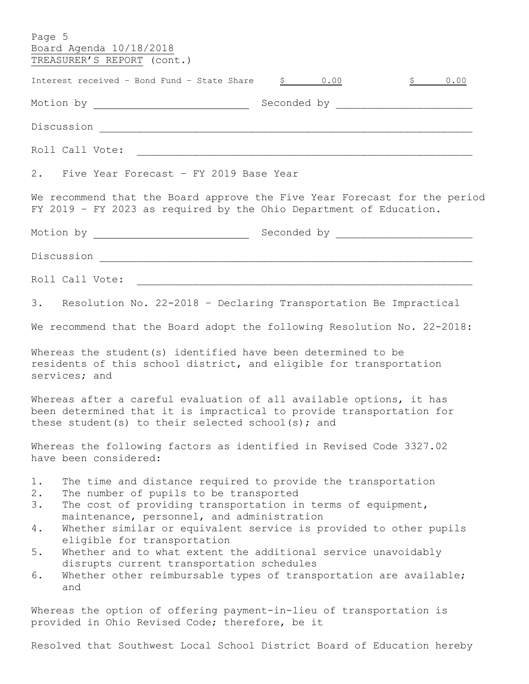| Page 5                              | Board Agenda 10/18/2018                                                                                                                                                                                                                                                                                                                                                                                                                                                                                           |         |  |
|-------------------------------------|-------------------------------------------------------------------------------------------------------------------------------------------------------------------------------------------------------------------------------------------------------------------------------------------------------------------------------------------------------------------------------------------------------------------------------------------------------------------------------------------------------------------|---------|--|
|                                     | TREASURER'S REPORT (cont.)                                                                                                                                                                                                                                                                                                                                                                                                                                                                                        |         |  |
|                                     | Interest received - Bond Fund - State Share $\frac{5}{2}$ 0.00                                                                                                                                                                                                                                                                                                                                                                                                                                                    | \$ 0.00 |  |
|                                     |                                                                                                                                                                                                                                                                                                                                                                                                                                                                                                                   |         |  |
|                                     |                                                                                                                                                                                                                                                                                                                                                                                                                                                                                                                   |         |  |
|                                     |                                                                                                                                                                                                                                                                                                                                                                                                                                                                                                                   |         |  |
|                                     | 2. Five Year Forecast - FY 2019 Base Year                                                                                                                                                                                                                                                                                                                                                                                                                                                                         |         |  |
|                                     | We recommend that the Board approve the Five Year Forecast for the period<br>FY 2019 - FY 2023 as required by the Ohio Department of Education.                                                                                                                                                                                                                                                                                                                                                                   |         |  |
|                                     |                                                                                                                                                                                                                                                                                                                                                                                                                                                                                                                   |         |  |
|                                     |                                                                                                                                                                                                                                                                                                                                                                                                                                                                                                                   |         |  |
|                                     |                                                                                                                                                                                                                                                                                                                                                                                                                                                                                                                   |         |  |
|                                     | 3. Resolution No. 22-2018 - Declaring Transportation Be Impractical                                                                                                                                                                                                                                                                                                                                                                                                                                               |         |  |
|                                     | We recommend that the Board adopt the following Resolution No. 22-2018:                                                                                                                                                                                                                                                                                                                                                                                                                                           |         |  |
|                                     | Whereas the student (s) identified have been determined to be<br>residents of this school district, and eligible for transportation<br>services; and                                                                                                                                                                                                                                                                                                                                                              |         |  |
|                                     | Whereas after a careful evaluation of all available options, it has<br>been determined that it is impractical to provide transportation for<br>these student(s) to their selected school(s); and                                                                                                                                                                                                                                                                                                                  |         |  |
|                                     | Whereas the following factors as identified in Revised Code 3327.02<br>have been considered:                                                                                                                                                                                                                                                                                                                                                                                                                      |         |  |
| $1$ .<br>2.<br>3.<br>4.<br>5.<br>6. | The time and distance required to provide the transportation<br>The number of pupils to be transported<br>The cost of providing transportation in terms of equipment,<br>maintenance, personnel, and administration<br>Whether similar or equivalent service is provided to other pupils<br>eligible for transportation<br>Whether and to what extent the additional service unavoidably<br>disrupts current transportation schedules<br>Whether other reimbursable types of transportation are available;<br>and |         |  |
|                                     | Whereas the option of offering payment-in-lieu of transportation is<br>provided in Ohio Revised Code; therefore, be it                                                                                                                                                                                                                                                                                                                                                                                            |         |  |

Resolved that Southwest Local School District Board of Education hereby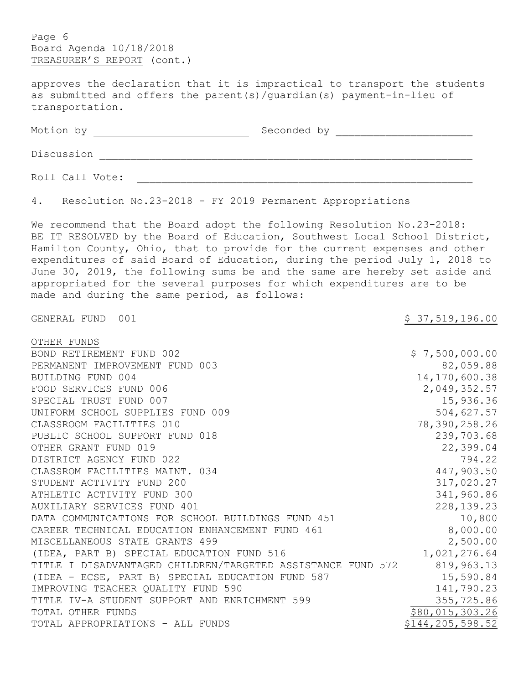Page 6 Board Agenda 10/18/2018 TREASURER'S REPORT (cont.)

approves the declaration that it is impractical to transport the students as submitted and offers the parent(s)/guardian(s) payment-in-lieu of transportation.

Motion by Seconded by \_\_\_\_\_\_\_\_\_\_\_\_\_\_\_\_\_\_\_\_\_\_ Discussion \_\_\_\_\_\_\_\_\_\_\_\_\_\_\_\_\_\_\_\_\_\_\_\_\_\_\_\_\_\_\_\_\_\_\_\_\_\_\_\_\_\_\_\_\_\_\_\_\_\_\_\_\_\_\_\_\_\_\_\_ Roll Call Vote:

4. Resolution No.23-2018 - FY 2019 Permanent Appropriations

We recommend that the Board adopt the following Resolution No.23-2018: BE IT RESOLVED by the Board of Education, Southwest Local School District, Hamilton County, Ohio, that to provide for the current expenses and other expenditures of said Board of Education, during the period July 1, 2018 to June 30, 2019, the following sums be and the same are hereby set aside and appropriated for the several purposes for which expenditures are to be made and during the same period, as follows:

GENERAL FUND 001 37,519,196.00

| OTHER FUNDS                                                 |                  |
|-------------------------------------------------------------|------------------|
| BOND RETIREMENT FUND 002                                    | \$7,500,000.00   |
| PERMANENT IMPROVEMENT FUND 003                              | 82,059.88        |
| BUILDING FUND 004                                           | 14, 170, 600.38  |
| FOOD SERVICES FUND 006                                      | 2,049,352.57     |
| SPECIAL TRUST FUND 007                                      | 15,936.36        |
| UNIFORM SCHOOL SUPPLIES FUND 009                            | 504,627.57       |
| CLASSROOM FACILITIES 010                                    | 78,390,258.26    |
| PUBLIC SCHOOL SUPPORT FUND 018                              | 239,703.68       |
| OTHER GRANT FUND 019                                        | 22,399.04        |
| DISTRICT AGENCY FUND 022                                    | 794.22           |
| CLASSROM FACILITIES MAINT. 034                              | 447,903.50       |
| STUDENT ACTIVITY FUND 200                                   | 317,020.27       |
| ATHLETIC ACTIVITY FUND 300                                  | 341,960.86       |
| AUXILIARY SERVICES FUND 401                                 | 228, 139. 23     |
| DATA COMMUNICATIONS FOR SCHOOL BUILDINGS FUND 451           | 10,800           |
| CAREER TECHNICAL EDUCATION ENHANCEMENT FUND 461             | 8,000.00         |
| MISCELLANEOUS STATE GRANTS 499                              | 2,500.00         |
| (IDEA, PART B) SPECIAL EDUCATION FUND 516                   | 1,021,276.64     |
| TITLE I DISADVANTAGED CHILDREN/TARGETED ASSISTANCE FUND 572 | 819,963.13       |
| (IDEA - ECSE, PART B) SPECIAL EDUCATION FUND 587            | 15,590.84        |
| IMPROVING TEACHER QUALITY FUND 590                          | 141,790.23       |
| TITLE IV-A STUDENT SUPPORT AND ENRICHMENT 599               | 355,725.86       |
| TOTAL OTHER FUNDS                                           | \$80,015,303.26  |
| TOTAL APPROPRIATIONS - ALL FUNDS                            | \$144,205,598.52 |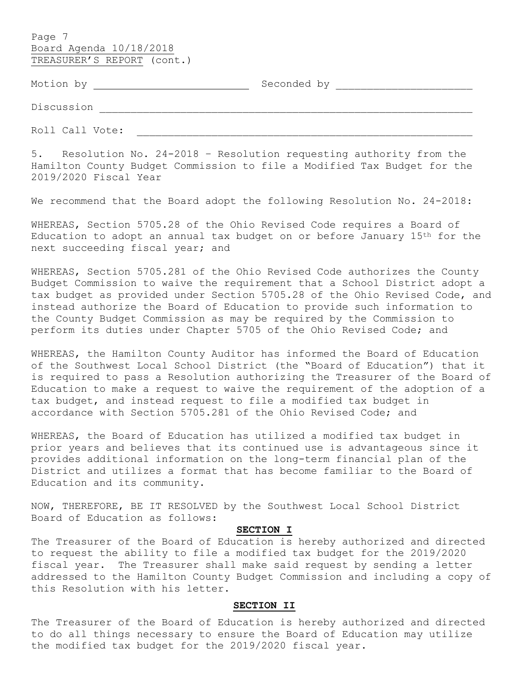Page 7 Board Agenda 10/18/2018 TREASURER'S REPORT (cont.)

Motion by Seconded by \_\_\_\_\_\_\_\_\_\_\_\_\_\_\_\_\_\_\_\_\_\_

Discussion and the contract of the contract of  $\overline{a}$ 

Roll Call Vote:

5. Resolution No. 24-2018 – Resolution requesting authority from the Hamilton County Budget Commission to file a Modified Tax Budget for the 2019/2020 Fiscal Year

We recommend that the Board adopt the following Resolution No. 24-2018:

WHEREAS, Section 5705.28 of the Ohio Revised Code requires a Board of Education to adopt an annual tax budget on or before January 15th for the next succeeding fiscal year; and

WHEREAS, Section 5705.281 of the Ohio Revised Code authorizes the County Budget Commission to waive the requirement that a School District adopt a tax budget as provided under Section 5705.28 of the Ohio Revised Code, and instead authorize the Board of Education to provide such information to the County Budget Commission as may be required by the Commission to perform its duties under Chapter 5705 of the Ohio Revised Code; and

WHEREAS, the Hamilton County Auditor has informed the Board of Education of the Southwest Local School District (the "Board of Education") that it is required to pass a Resolution authorizing the Treasurer of the Board of Education to make a request to waive the requirement of the adoption of a tax budget, and instead request to file a modified tax budget in accordance with Section 5705.281 of the Ohio Revised Code; and

WHEREAS, the Board of Education has utilized a modified tax budget in prior years and believes that its continued use is advantageous since it provides additional information on the long-term financial plan of the District and utilizes a format that has become familiar to the Board of Education and its community.

NOW, THEREFORE, BE IT RESOLVED by the Southwest Local School District Board of Education as follows:

## **SECTION I**

The Treasurer of the Board of Education is hereby authorized and directed to request the ability to file a modified tax budget for the 2019/2020 fiscal year. The Treasurer shall make said request by sending a letter addressed to the Hamilton County Budget Commission and including a copy of this Resolution with his letter.

#### **SECTION II**

The Treasurer of the Board of Education is hereby authorized and directed to do all things necessary to ensure the Board of Education may utilize the modified tax budget for the 2019/2020 fiscal year.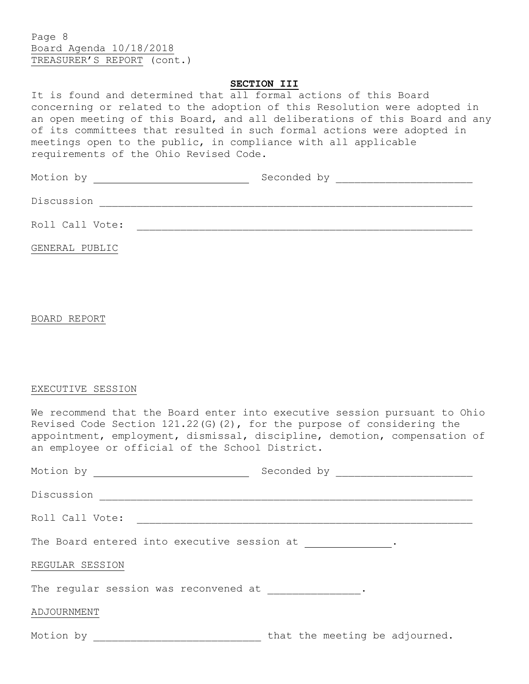Page 8 Board Agenda 10/18/2018 TREASURER'S REPORT (cont.)

# **SECTION III**

It is found and determined that all formal actions of this Board concerning or related to the adoption of this Resolution were adopted in an open meeting of this Board, and all deliberations of this Board and any of its committees that resulted in such formal actions were adopted in meetings open to the public, in compliance with all applicable requirements of the Ohio Revised Code.

Motion by Seconded by \_\_\_\_\_\_\_\_\_\_\_\_\_\_\_\_\_\_\_\_\_\_ Discussion \_\_\_\_\_\_\_\_\_\_\_\_\_\_\_\_\_\_\_\_\_\_\_\_\_\_\_\_\_\_\_\_\_\_\_\_\_\_\_\_\_\_\_\_\_\_\_\_\_\_\_\_\_\_\_\_\_\_\_\_ Roll Call Vote:

GENERAL PUBLIC

BOARD REPORT

#### EXECUTIVE SESSION

We recommend that the Board enter into executive session pursuant to Ohio Revised Code Section 121.22(G)(2), for the purpose of considering the appointment, employment, dismissal, discipline, demotion, compensation of an employee or official of the School District.

| Motion by <u>____________________</u>              |                                |
|----------------------------------------------------|--------------------------------|
| Discussion <u>_____________________</u>            |                                |
| Roll Call Vote:                                    |                                |
| The Board entered into executive session at [100]. |                                |
| REGULAR SESSION                                    |                                |
| The regular session was reconvened at .            |                                |
| ADJOURNMENT                                        |                                |
|                                                    | that the meeting be adjourned. |